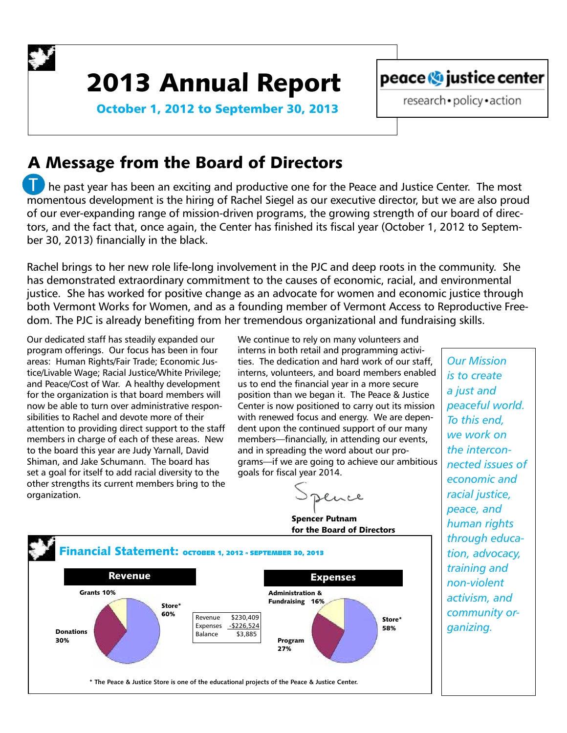

# 2013 Annual Report



October 1, 2012 to September 30, 2013

### research · policy · action

# A Message from the Board of Directors

 he past year has been an exciting and productive one for the Peace and Justice Center. The most momentous development is the hiring of Rachel Siegel as our executive director, but we are also proud of our ever-expanding range of mission-driven programs, the growing strength of our board of directors, and the fact that, once again, the Center has finished its fiscal year (October 1, 2012 to September 30, 2013) financially in the black. T

Rachel brings to her new role life-long involvement in the PJC and deep roots in the community. She has demonstrated extraordinary commitment to the causes of economic, racial, and environmental justice. She has worked for positive change as an advocate for women and economic justice through both Vermont Works for Women, and as a founding member of Vermont Access to Reproductive Freedom. The PJC is already benefiting from her tremendous organizational and fundraising skills.

Our dedicated staff has steadily expanded our program offerings. Our focus has been in four areas: Human Rights/Fair Trade; Economic Justice/Livable Wage; Racial Justice/White Privilege; and Peace/Cost of War. A healthy development for the organization is that board members will now be able to turn over administrative responsibilities to Rachel and devote more of their attention to providing direct support to the staff members in charge of each of these areas. New to the board this year are Judy Yarnall, David Shiman, and Jake Schumann. The board has set a goal for itself to add racial diversity to the other strengths its current members bring to the organization.

We continue to rely on many volunteers and interns in both retail and programming activities. The dedication and hard work of our staff, interns, volunteers, and board members enabled us to end the financial year in a more secure position than we began it. The Peace & Justice Center is now positioned to carry out its mission with renewed focus and energy. We are dependent upon the continued support of our many members—financially, in attending our events, and in spreading the word about our programs—if we are going to achieve our ambitious goals for fiscal year 2014.

luce

Spencer Putnam for the Board of Directors



*Our Mission is to create a just and peaceful world. To this end, we work on the interconnected issues of economic and racial justice, peace, and human rights through education, advocacy, training and non-violent activism, and community organizing.*